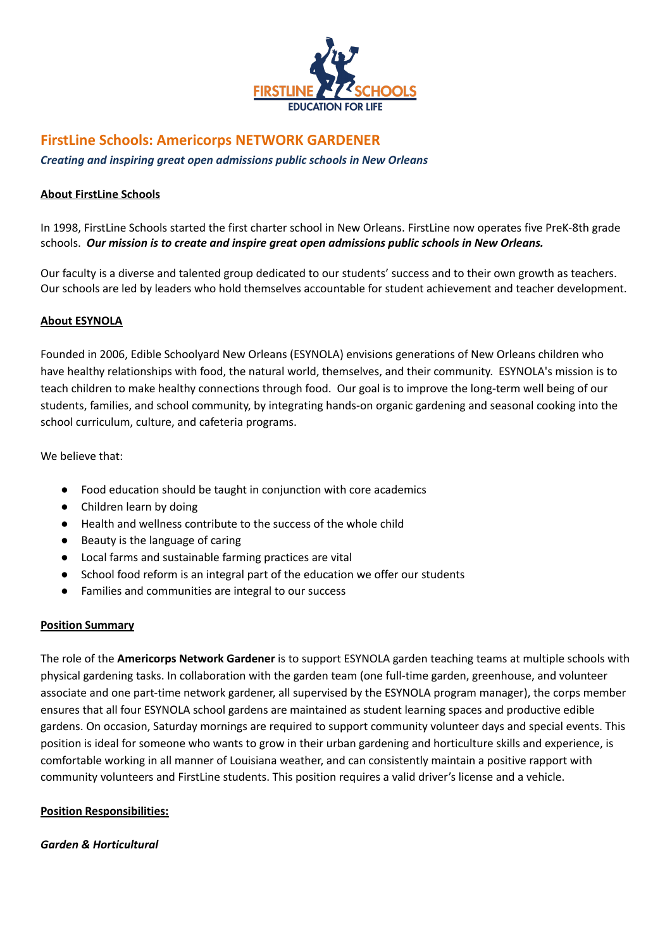

# **FirstLine Schools: Americorps NETWORK GARDENER**

*Creating and inspiring great open admissions public schools in New Orleans*

### **About FirstLine Schools**

In 1998, FirstLine Schools started the first charter school in New Orleans. FirstLine now operates five PreK-8th grade schools. *Our mission is to create and inspire great open admissions public schools in New Orleans.*

Our faculty is a diverse and talented group dedicated to our students' success and to their own growth as teachers. Our schools are led by leaders who hold themselves accountable for student achievement and teacher development.

# **About ESYNOLA**

Founded in 2006, Edible Schoolyard New Orleans (ESYNOLA) envisions generations of New Orleans children who have healthy relationships with food, the natural world, themselves, and their community. ESYNOLA's mission is to teach children to make healthy connections through food. Our goal is to improve the long-term well being of our students, families, and school community, by integrating hands-on organic gardening and seasonal cooking into the school curriculum, culture, and cafeteria programs.

We believe that:

- Food education should be taught in conjunction with core academics
- Children learn by doing
- Health and wellness contribute to the success of the whole child
- Beauty is the language of caring
- Local farms and sustainable farming practices are vital
- School food reform is an integral part of the education we offer our students
- Families and communities are integral to our success

# **Position Summary**

The role of the **Americorps Network Gardener** is to support ESYNOLA garden teaching teams at multiple schools with physical gardening tasks. In collaboration with the garden team (one full-time garden, greenhouse, and volunteer associate and one part-time network gardener, all supervised by the ESYNOLA program manager), the corps member ensures that all four ESYNOLA school gardens are maintained as student learning spaces and productive edible gardens. On occasion, Saturday mornings are required to support community volunteer days and special events. This position is ideal for someone who wants to grow in their urban gardening and horticulture skills and experience, is comfortable working in all manner of Louisiana weather, and can consistently maintain a positive rapport with community volunteers and FirstLine students. This position requires a valid driver's license and a vehicle.

# **Position Responsibilities:**

#### *Garden & Horticultural*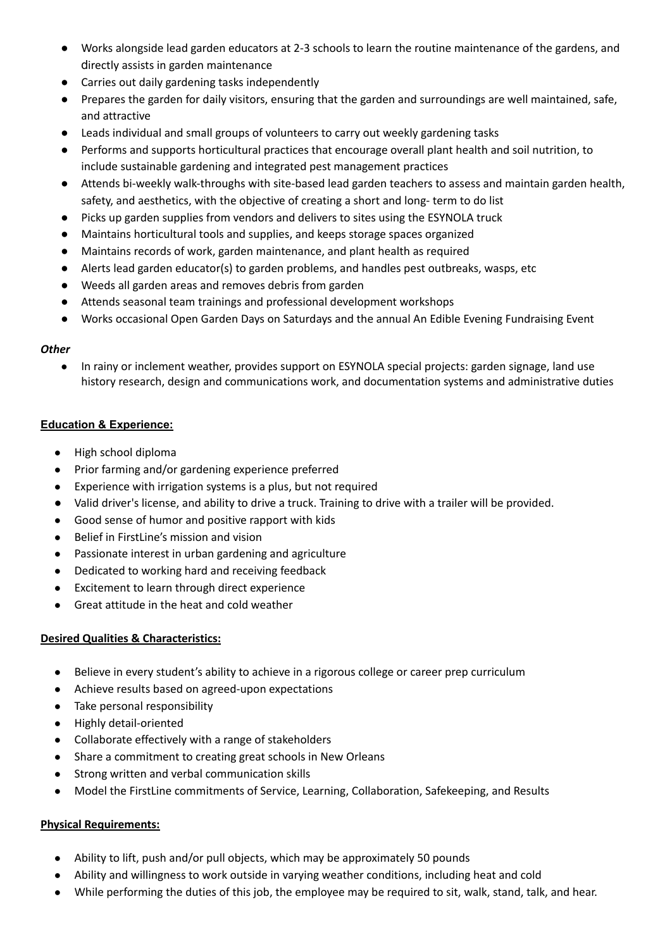- Works alongside lead garden educators at 2-3 schools to learn the routine maintenance of the gardens, and directly assists in garden maintenance
- Carries out daily gardening tasks independently
- Prepares the garden for daily visitors, ensuring that the garden and surroundings are well maintained, safe, and attractive
- Leads individual and small groups of volunteers to carry out weekly gardening tasks
- Performs and supports horticultural practices that encourage overall plant health and soil nutrition, to include sustainable gardening and integrated pest management practices
- Attends bi-weekly walk-throughs with site-based lead garden teachers to assess and maintain garden health, safety, and aesthetics, with the objective of creating a short and long- term to do list
- Picks up garden supplies from vendors and delivers to sites using the ESYNOLA truck
- Maintains horticultural tools and supplies, and keeps storage spaces organized
- Maintains records of work, garden maintenance, and plant health as required
- Alerts lead garden educator(s) to garden problems, and handles pest outbreaks, wasps, etc
- **●** Weeds all garden areas and removes debris from garden
- **●** Attends seasonal team trainings and professional development workshops
- Works occasional Open Garden Days on Saturdays and the annual An Edible Evening Fundraising Event

# *Other*

In rainy or inclement weather, provides support on ESYNOLA special projects: garden signage, land use history research, design and communications work, and documentation systems and administrative duties

# **Education & Experience:**

- High school diploma
- Prior farming and/or gardening experience preferred
- Experience with irrigation systems is a plus, but not required
- Valid driver's license, and ability to drive a truck. Training to drive with a trailer will be provided.
- Good sense of humor and positive rapport with kids
- Belief in FirstLine's mission and vision
- Passionate interest in urban gardening and agriculture
- Dedicated to working hard and receiving feedback
- Excitement to learn through direct experience
- Great attitude in the heat and cold weather

# **Desired Qualities & Characteristics:**

- Believe in every student's ability to achieve in a rigorous college or career prep curriculum
- Achieve results based on agreed-upon expectations
- Take personal responsibility
- Highly detail-oriented
- Collaborate effectively with a range of stakeholders
- Share a commitment to creating great schools in New Orleans
- Strong written and verbal communication skills
- Model the FirstLine commitments of Service, Learning, Collaboration, Safekeeping, and Results

# **Physical Requirements:**

- Ability to lift, push and/or pull objects, which may be approximately 50 pounds
- Ability and willingness to work outside in varying weather conditions, including heat and cold
- While performing the duties of this job, the employee may be required to sit, walk, stand, talk, and hear.